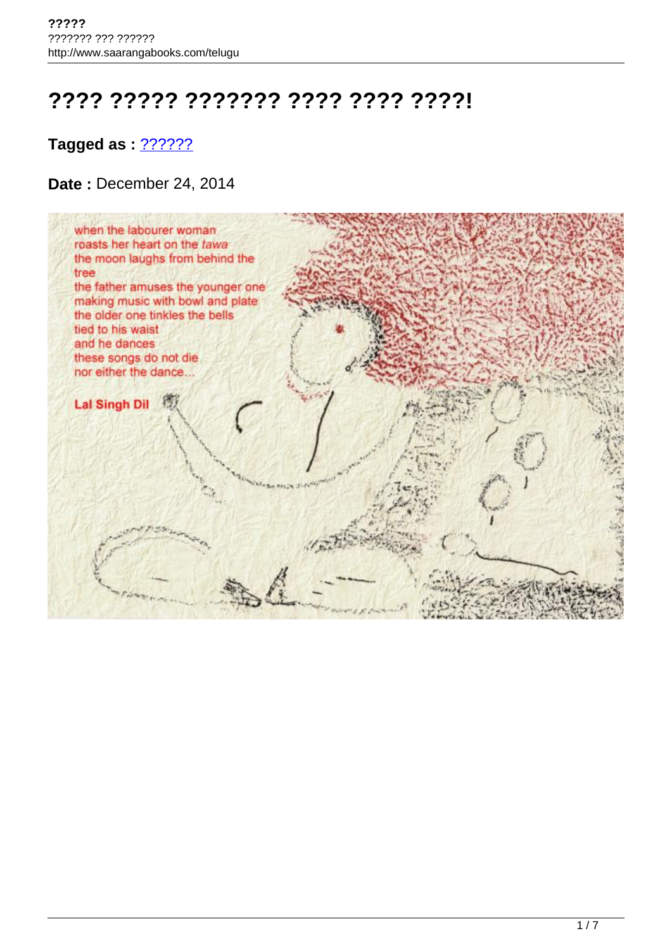# **???? ????? ??????? ???? ???? ????!**

## **Tagged as : [??????](http://www.saarangabooks.com/telugu/tag/%e0%b0%a8%e0%b0%bf%e0%b0%b6%e0%b1%80%e0%b0%a7%e0%b0%bf/)?**

### **Date :** December 24, 2014

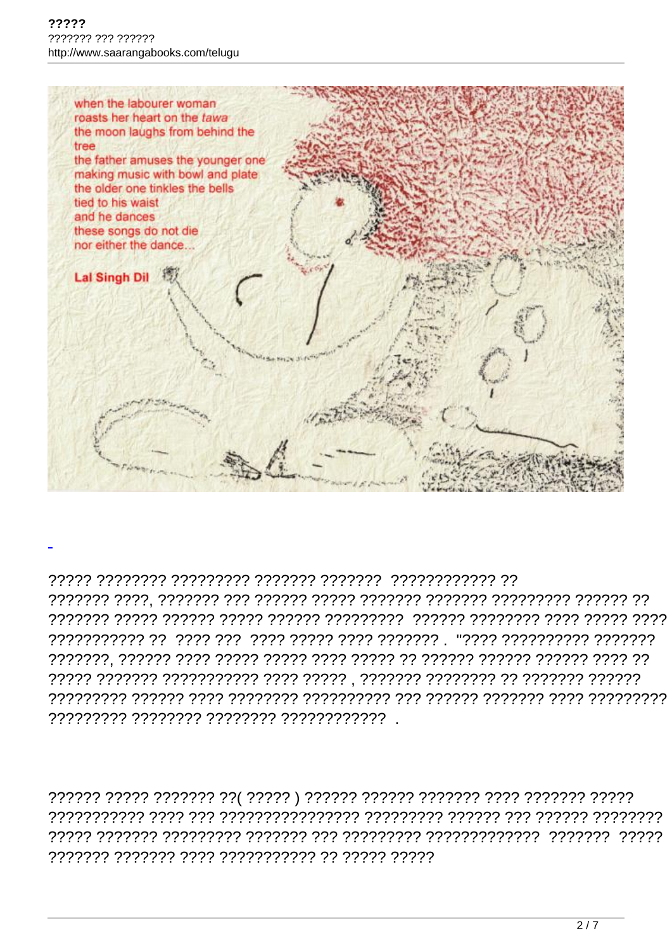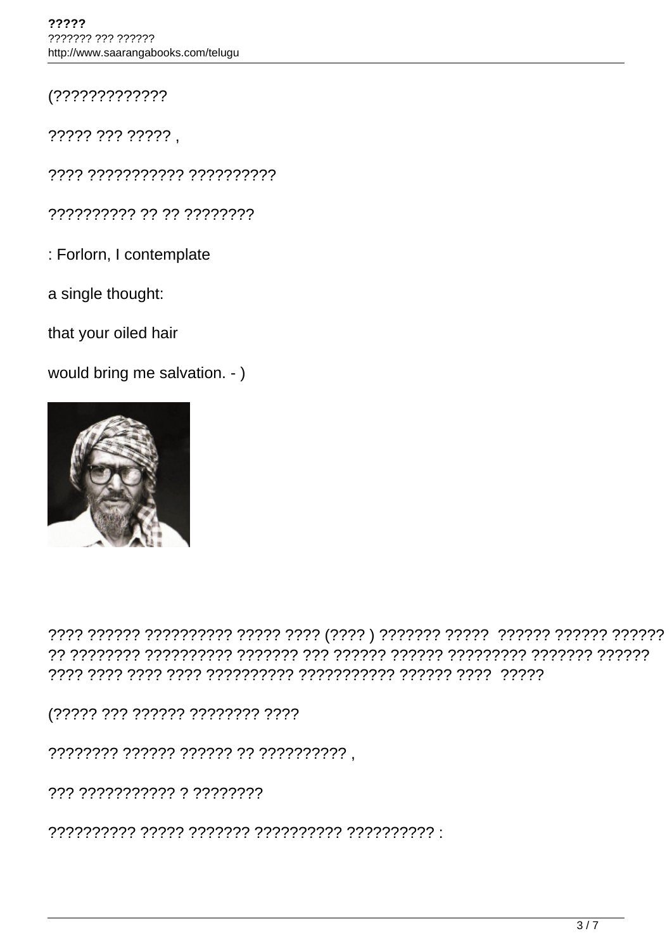$(????????????????$ 

????? ??? ????? ,

???? ??????????? ??????????

?????????? ?? ?? ????????

: Forlorn, I contemplate

a single thought:

that your oiled hair

would bring me salvation. - )



(????? ??? ?????? ???????? ????

???????? ?????? ?????? ?? ?????????? ,

??? ??????????? ? ????????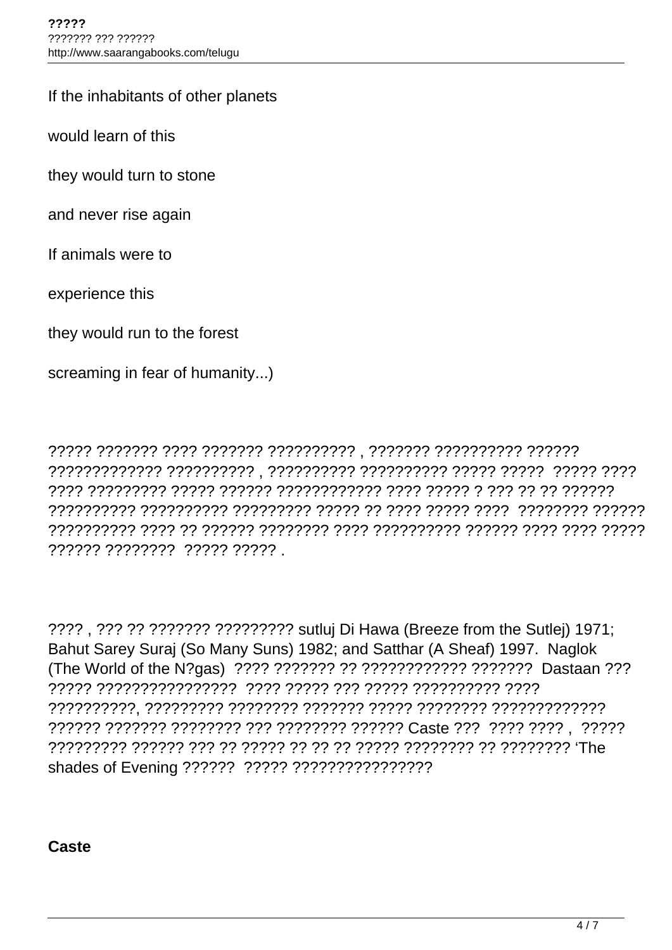#### If the inhabitants of other planets

would learn of this

they would turn to stone

and never rise again

If animals were to

experience this

they would run to the forest

screaming in fear of humanity...)

????? ??????? ???? ??????? ?????????? , ??????? ?????????? ?????? ????????????? ?????????? , ?????????? ?????????? ????? ????? ????? ???? ???? ????????? ????? ?????? ???????????? ???? ????? ? ??? ?? ?? ?????? ?????????? ?????????? ????????? ????? ?? ???? ????? ???? ???????? ?????? ?????????? ???? ?? ?????? ???????? ???? ?????????? ?????? ???? ???? ????? ?????? ???????? ????? ????? .

???? , ??? ?? ??????? ????????? sutluj Di Hawa (Breeze from the Sutlej) 1971; Bahut Sarey Suraj (So Many Suns) 1982; and Satthar (A Sheaf) 1997. Naglok (The World of the N?gas) ???? ??????? ?? ???????????? ??????? Dastaan ??? ????? ???????????????? ???? ????? ??? ????? ?????????? ???? ??????????, ????????? ???????? ??????? ????? ???????? ????????????? ?????? ??????? ???????? ??? ???????? ?????? Caste ??? ???? ???? , ????? ????????? ?????? ??? ?? ????? ?? ?? ?? ????? ???????? ?? ???????? 'The shades of Evening ?????? ????? ????????????????

**Caste**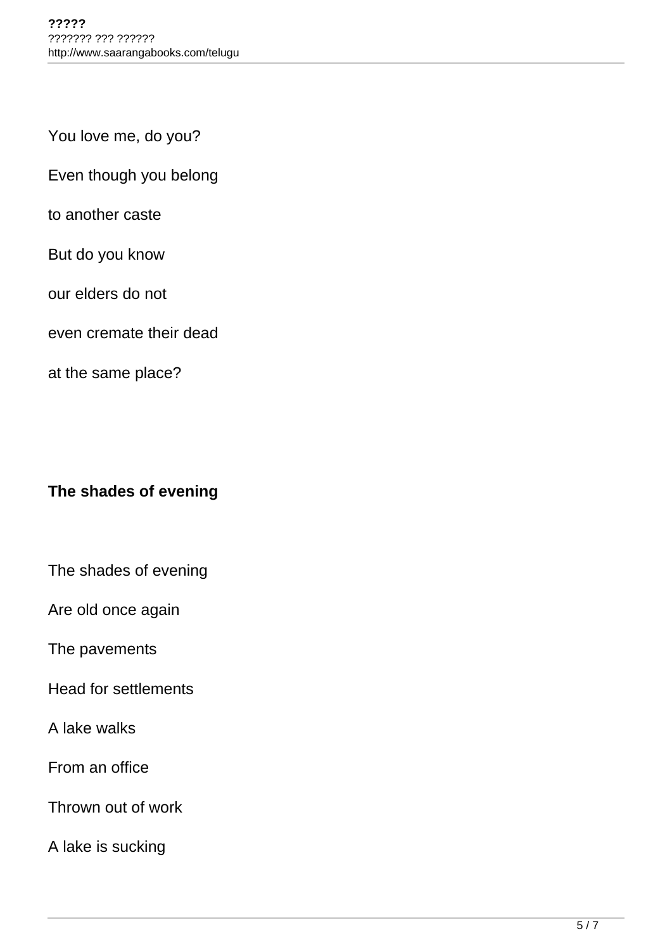You love me, do you?

Even though you belong

to another caste

But do you know

our elders do not

even cremate their dead

at the same place?

## **The shades of evening**

The shades of evening

Are old once again

The pavements

Head for settlements

A lake walks

From an office

Thrown out of work

A lake is sucking